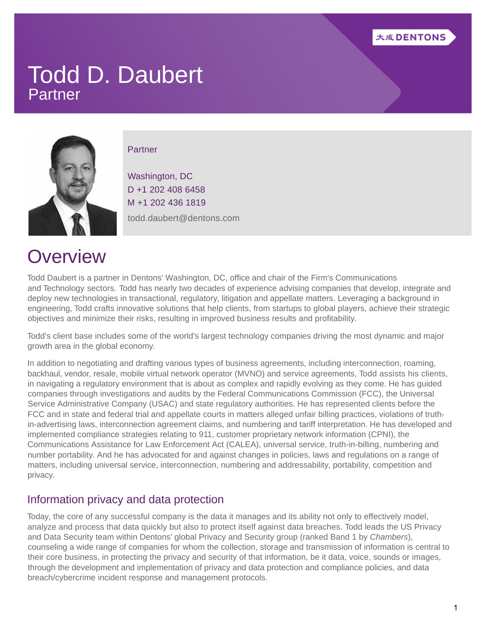

### Todd D. Daubert Partner



#### **Partner**

Washington, DC D +1 202 408 6458 M +1 202 436 1819 todd.daubert@dentons.com

### **Overview**

Todd Daubert is a partner in Dentons' Washington, DC, office and chair of the Firm's [Communications](https://www.dentons.com/en/find-your-dentons-team/industry-sectors/communications) and [Technology](https://www.dentons.com/en/find-your-dentons-team/industry-sectors/technology) sectors. Todd has nearly two decades of experience advising companies that develop, integrate and deploy new technologies in transactional, regulatory, litigation and appellate matters. Leveraging a background in engineering, Todd crafts innovative solutions that help clients, from startups to global players, achieve their strategic objectives and minimize their risks, resulting in improved business results and profitability.

Todd's client base includes some of the world's largest technology companies driving the most dynamic and major growth area in the global economy.

In addition to negotiating and drafting various types of business agreements, including interconnection, roaming, backhaul, vendor, resale, mobile virtual network operator (MVNO) and service agreements, Todd assists his clients, in navigating a regulatory environment that is about as complex and rapidly evolving as they come. He has guided companies through investigations and audits by the Federal Communications Commission (FCC), the Universal Service Administrative Company (USAC) and state regulatory authorities. He has represented clients before the FCC and in state and federal trial and appellate courts in matters alleged unfair billing practices, violations of truthin-advertising laws, interconnection agreement claims, and numbering and tariff interpretation. He has developed and implemented compliance strategies relating to 911, customer proprietary network information (CPNI), the Communications Assistance for Law Enforcement Act (CALEA), universal service, truth-in-billing, numbering and number portability. And he has advocated for and against changes in policies, laws and regulations on a range of matters, including universal service, interconnection, numbering and addressability, portability, competition and privacy.

#### Information privacy and data protection

Today, the core of any successful company is the data it manages and its ability not only to effectively model, analyze and process that data quickly but also to protect itself against data breaches. Todd leads the US Privacy and Data Security team within Dentons' global Privacy and Security group (ranked Band 1 by Chambers), counseling a wide range of companies for whom the collection, storage and transmission of information is central to their core business, in protecting the privacy and security of that information, be it data, voice, sounds or images, through the development and implementation of privacy and data protection and compliance policies, and data breach/cybercrime incident response and management protocols.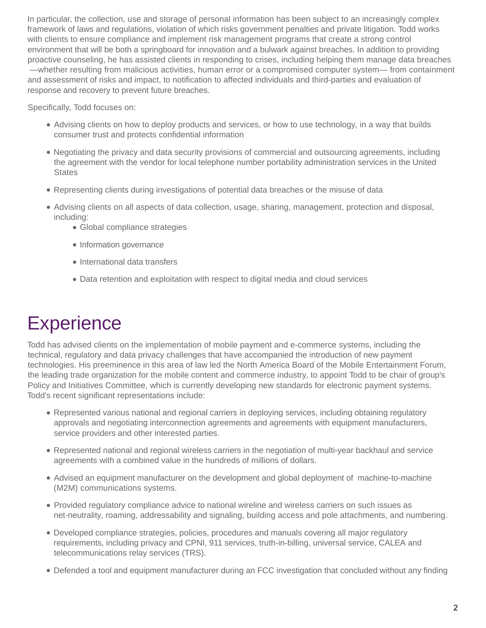In particular, the collection, use and storage of personal information has been subject to an increasingly complex framework of laws and regulations, violation of which risks government penalties and private litigation. Todd works with clients to ensure compliance and implement risk management programs that create a strong control environment that will be both a springboard for innovation and a bulwark against breaches. In addition to providing proactive counseling, he has assisted clients in responding to crises, including helping them manage data breaches —whether resulting from malicious activities, human error or a compromised computer system— from containment and assessment of risks and impact, to notification to affected individuals and third-parties and evaluation of response and recovery to prevent future breaches.

Specifically, Todd focuses on:

- Advising clients on how to deploy products and services, or how to use technology, in a way that builds consumer trust and protects confidential information
- Negotiating the privacy and data security provisions of commercial and outsourcing agreements, including the agreement with the vendor for local telephone number portability administration services in the United **States**
- Representing clients during investigations of potential data breaches or the misuse of data
- Advising clients on all aspects of data collection, usage, sharing, management, protection and disposal, including:
	- Global compliance strategies
	- Information governance
	- International data transfers
	- Data retention and exploitation with respect to digital media and cloud services

## **Experience**

Todd has advised clients on the implementation of mobile payment and e-commerce systems, including the technical, regulatory and data privacy challenges that have accompanied the introduction of new payment technologies. His preeminence in this area of law led the North America Board of the Mobile Entertainment Forum, the leading trade organization for the mobile content and commerce industry, to appoint Todd to be chair of group's Policy and Initiatives Committee, which is currently developing new standards for electronic payment systems. Todd's recent significant representations include:

- Represented various national and regional carriers in deploying services, including obtaining regulatory approvals and negotiating interconnection agreements and agreements with equipment manufacturers, service providers and other interested parties.
- Represented national and regional wireless carriers in the negotiation of multi-year backhaul and service agreements with a combined value in the hundreds of millions of dollars.
- Advised an equipment manufacturer on the development and global deployment of machine-to-machine (M2M) communications systems.
- Provided regulatory compliance advice to national wireline and wireless carriers on such issues as net-neutrality, roaming, addressability and signaling, building access and pole attachments, and numbering.
- Developed compliance strategies, policies, procedures and manuals covering all major regulatory requirements, including privacy and CPNI, 911 services, truth-in-billing, universal service, CALEA and telecommunications relay services (TRS).
- Defended a tool and equipment manufacturer during an FCC investigation that concluded without any finding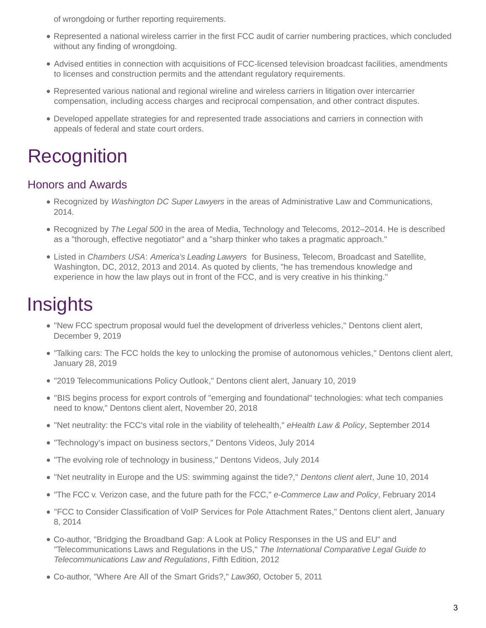of wrongdoing or further reporting requirements.

- Represented a national wireless carrier in the first FCC audit of carrier numbering practices, which concluded without any finding of wrongdoing.
- Advised entities in connection with acquisitions of FCC-licensed television broadcast facilities, amendments to licenses and construction permits and the attendant regulatory requirements.
- Represented various national and regional wireline and wireless carriers in litigation over intercarrier compensation, including access charges and reciprocal compensation, and other contract disputes.
- Developed appellate strategies for and represented trade associations and carriers in connection with appeals of federal and state court orders.

## **Recognition**

#### Honors and Awards

- Recognized by Washington DC Super Lawyers in the areas of Administrative Law and Communications, 2014.
- Recognized by The Legal 500 in the area of Media, Technology and Telecoms, 2012–2014. He is described as a "thorough, effective negotiator" and a "sharp thinker who takes a pragmatic approach."
- Listed in Chambers USA: America's Leading Lawyers for Business, Telecom, Broadcast and Satellite, Washington, DC, 2012, 2013 and 2014. As quoted by clients, "he has tremendous knowledge and experience in how the law plays out in front of the FCC, and is very creative in his thinking."

### **Insights**

- ["New FCC spectrum proposal would fuel the development of driverless vehicles,](https://www.dentons.com/en/insights/alerts/2019/december/6/new-fcc-spectrum-proposal-would-fuel-the-development-of-driverless-vehicles)" Dentons client alert, December 9, 2019
- ["Talking cars: The FCC holds the key to unlocking the promise of autonomous vehicles,](https://www.dentons.com/en/insights/alerts/2019/january/25/talking-cars)" Dentons client alert, January 28, 2019
- ["2019 Telecommunications Policy Outlook,](https://www.dentons.com/en/insights/alerts/2019/january/9/2019-telecommunications-policy-outlook)" Dentons client alert, January 10, 2019
- ["BIS begins process for export controls of "emerging and foundational" technologies: what tech companies](https://www.dentons.com/en/insights/alerts/2018/november/20/bis-begins-export-controls-process-for-emerging-and-foundational-technologies) need to know," Dentons client alert, November 20, 2018
- "Net neutrality: the FCC's vital role in the viability of telehealth," eHealth Law & Policy, September 2014
- ["Technology's impact on business sectors,](https://www.dentons.com/en/pdf-pages/~/link.aspx?_id=0C447EEB6B564BCCA2D3BFD2EB5CC07F&_z=z)" Dentons Videos, July 2014
- ["The evolving role of technology in business,](https://www.dentons.com/en/pdf-pages/~/link.aspx?_id=DBE69B9F3630443EA0DD3454A67C2BA0&_z=z)" Dentons Videos, July 2014
- ["Net neutrality in Europe and the US: swimming against the tide?,](https://www.dentons.com/en/insights/articles/2014/june/10/net-neutrality-in-europe-and-the-us-swimming-against-the-tide)" Dentons client alert, June 10, 2014
- "The FCC v. Verizon case, and the future path for the FCC," e-Commerce Law and Policy, February 2014
- ["FCC to Consider Classification of VoIP Services for Pole Attachment Rates,](https://www.dentons.com/en/insights/alerts/2014/january/8/fcc-to-consider-classification-of-voip-services-for-pole-attachment-rates)" Dentons client alert, January 8, 2014
- Co-author, "Bridging the Broadband Gap: A Look at Policy Responses in the US and EU" and "Telecommunications Laws and Regulations in the US," The International Comparative Legal Guide to Telecommunications Law and Regulations, Fifth Edition, 2012
- Co-author, "Where Are All of the Smart Grids?," Law360, October 5, 2011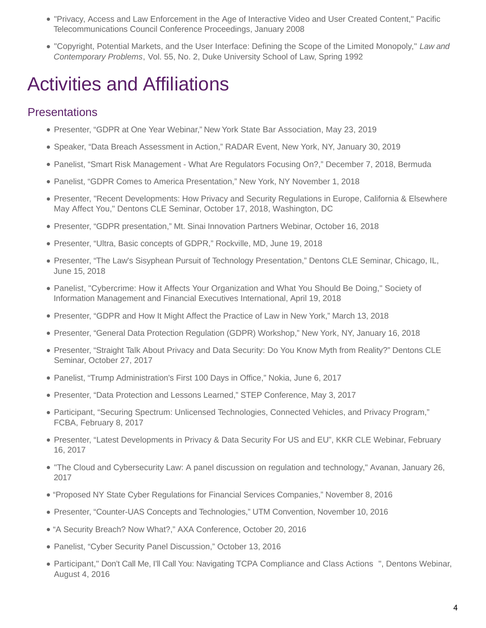- "Privacy, Access and Law Enforcement in the Age of Interactive Video and User Created Content," Pacific Telecommunications Council Conference Proceedings, January 2008
- "Copyright, Potential Markets, and the User Interface: Defining the Scope of the Limited Monopoly," Law and Contemporary Problems, Vol. 55, No. 2, Duke University School of Law, Spring 1992

## Activities and Affiliations

### **Presentations**

- Presenter, "GDPR at One Year Webinar," New York State Bar Association, May 23, 2019
- Speaker, "Data Breach Assessment in Action," RADAR Event, New York, NY, January 30, 2019
- Panelist, "Smart Risk Management What Are Regulators Focusing On?," December 7, 2018, Bermuda
- Panelist, "GDPR Comes to America Presentation," New York, NY November 1, 2018
- Presenter, "Recent Developments: How Privacy and Security Regulations in Europe, California & Elsewhere May Affect You," Dentons CLE Seminar, October 17, 2018, Washington, DC
- Presenter, "GDPR presentation," Mt. Sinai Innovation Partners Webinar, October 16, 2018
- Presenter, "Ultra, Basic concepts of GDPR," Rockville, MD, June 19, 2018
- Presenter, "The Law's Sisyphean Pursuit of Technology Presentation," Dentons CLE Seminar, Chicago, IL, June 15, 2018
- Panelist, "Cybercrime: How it Affects Your Organization and What You Should Be Doing," Society of Information Management and Financial Executives International, April 19, 2018
- Presenter, "GDPR and How It Might Affect the Practice of Law in New York," March 13, 2018
- Presenter, "General Data Protection Regulation (GDPR) Workshop," New York, NY, January 16, 2018
- Presenter, "Straight Talk About Privacy and Data Security: Do You Know Myth from Reality?" Dentons CLE Seminar, October 27, 2017
- Panelist, "Trump Administration's First 100 Days in Office," Nokia, June 6, 2017
- Presenter, "Data Protection and Lessons Learned," STEP Conference, May 3, 2017
- Participant, "Securing Spectrum: Unlicensed Technologies, Connected Vehicles, and Privacy Program," FCBA, February 8, 2017
- Presenter, "Latest Developments in Privacy & Data Security For US and EU", KKR CLE Webinar, February 16, 2017
- "The Cloud and Cybersecurity Law: A panel discussion on regulation and technology," Avanan, January 26, 2017
- "Proposed NY State Cyber Regulations for Financial Services Companies," November 8, 2016
- Presenter, "Counter-UAS Concepts and Technologies," UTM Convention, November 10, 2016
- "A Security Breach? Now What?," AXA Conference, October 20, 2016
- Panelist, "Cyber Security Panel Discussion," October 13, 2016
- Participant," [Don't Call Me, I'll Call You: Navigating TCPA Compliance and Class Actions](https://www.dentons.com/en/whats-different-about-dentons/connecting-you-to-talented-lawyers-around-the-globe/events/2016/august/4/navigating-tcpa-compliance-and-class-actions) ", Dentons Webinar, August 4, 2016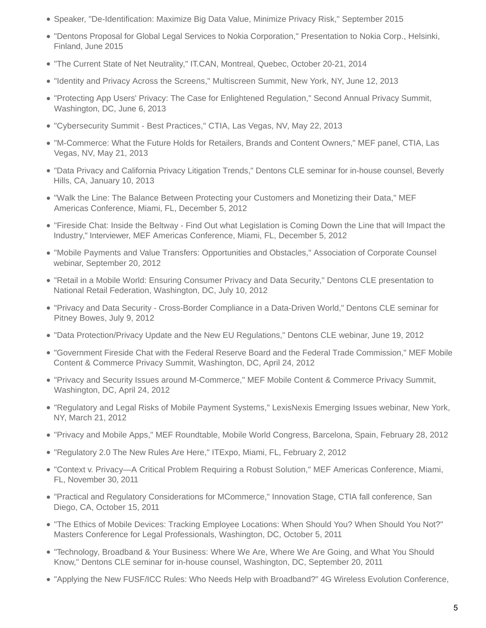- Speaker, "De-Identification: Maximize Big Data Value, Minimize Privacy Risk," September 2015
- ["Dentons Proposal for Global Legal Services to Nokia Corporation,](https://www.dentons.com/en/pdf-pages/~/media/12f3b4dce2f744d8aa3e38797b2573c7.ashx)" Presentation to Nokia Corp., Helsinki, Finland, June 2015
- "The Current State of Net Neutrality," IT.CAN, Montreal, Quebec, October 20-21, 2014
- "Identity and Privacy Across the Screens," Multiscreen Summit, New York, NY, June 12, 2013
- "Protecting App Users' Privacy: The Case for Enlightened Regulation," Second Annual Privacy Summit, Washington, DC, June 6, 2013
- "Cybersecurity Summit Best Practices," CTIA, Las Vegas, NV, May 22, 2013
- "M-Commerce: What the Future Holds for Retailers, Brands and Content Owners," MEF panel, CTIA, Las Vegas, NV, May 21, 2013
- "Data Privacy and California Privacy Litigation Trends," Dentons CLE seminar for in-house counsel, Beverly Hills, CA, January 10, 2013
- "Walk the Line: The Balance Between Protecting your Customers and Monetizing their Data," MEF Americas Conference, Miami, FL, December 5, 2012
- "Fireside Chat: Inside the Beltway Find Out what Legislation is Coming Down the Line that will Impact the Industry," Interviewer, MEF Americas Conference, Miami, FL, December 5, 2012
- "Mobile Payments and Value Transfers: Opportunities and Obstacles," Association of Corporate Counsel webinar, September 20, 2012
- "Retail in a Mobile World: Ensuring Consumer Privacy and Data Security," Dentons CLE presentation to National Retail Federation, Washington, DC, July 10, 2012
- "Privacy and Data Security Cross-Border Compliance in a Data-Driven World," Dentons CLE seminar for Pitney Bowes, July 9, 2012
- "Data Protection/Privacy Update and the New EU Regulations," Dentons CLE webinar, June 19, 2012
- "Government Fireside Chat with the Federal Reserve Board and the Federal Trade Commission," MEF Mobile Content & Commerce Privacy Summit, Washington, DC, April 24, 2012
- "Privacy and Security Issues around M-Commerce," MEF Mobile Content & Commerce Privacy Summit, Washington, DC, April 24, 2012
- "Regulatory and Legal Risks of Mobile Payment Systems," LexisNexis Emerging Issues webinar, New York, NY, March 21, 2012
- "Privacy and Mobile Apps," MEF Roundtable, Mobile World Congress, Barcelona, Spain, February 28, 2012
- "Regulatory 2.0 The New Rules Are Here," ITExpo, Miami, FL, February 2, 2012
- "Context v. Privacy—A Critical Problem Requiring a Robust Solution," MEF Americas Conference, Miami, FL, November 30, 2011
- "Practical and Regulatory Considerations for MCommerce," Innovation Stage, CTIA fall conference, San Diego, CA, October 15, 2011
- "The Ethics of Mobile Devices: Tracking Employee Locations: When Should You? When Should You Not?" Masters Conference for Legal Professionals, Washington, DC, October 5, 2011
- "Technology, Broadband & Your Business: Where We Are, Where We Are Going, and What You Should Know," Dentons CLE seminar for in-house counsel, Washington, DC, September 20, 2011
- "Applying the New FUSF/ICC Rules: Who Needs Help with Broadband?" 4G Wireless Evolution Conference,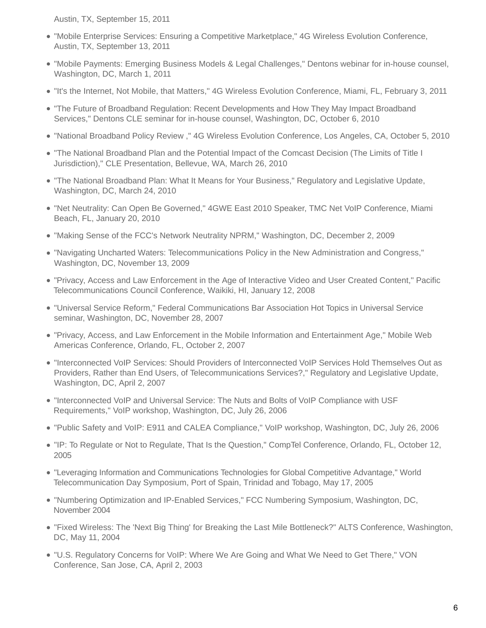Austin, TX, September 15, 2011

- "Mobile Enterprise Services: Ensuring a Competitive Marketplace," 4G Wireless Evolution Conference, Austin, TX, September 13, 2011
- "Mobile Payments: Emerging Business Models & Legal Challenges," Dentons webinar for in-house counsel, Washington, DC, March 1, 2011
- "It's the Internet, Not Mobile, that Matters," 4G Wireless Evolution Conference, Miami, FL, February 3, 2011
- "The Future of Broadband Regulation: Recent Developments and How They May Impact Broadband Services," Dentons CLE seminar for in-house counsel, Washington, DC, October 6, 2010
- "National Broadband Policy Review ," 4G Wireless Evolution Conference, Los Angeles, CA, October 5, 2010
- "The National Broadband Plan and the Potential Impact of the Comcast Decision (The Limits of Title I Jurisdiction)," CLE Presentation, Bellevue, WA, March 26, 2010
- "The National Broadband Plan: What It Means for Your Business," Regulatory and Legislative Update, Washington, DC, March 24, 2010
- "Net Neutrality: Can Open Be Governed," 4GWE East 2010 Speaker, TMC Net VoIP Conference, Miami Beach, FL, January 20, 2010
- "Making Sense of the FCC's Network Neutrality NPRM," Washington, DC, December 2, 2009
- "Navigating Uncharted Waters: Telecommunications Policy in the New Administration and Congress," Washington, DC, November 13, 2009
- "Privacy, Access and Law Enforcement in the Age of Interactive Video and User Created Content," Pacific Telecommunications Council Conference, Waikiki, HI, January 12, 2008
- "Universal Service Reform," Federal Communications Bar Association Hot Topics in Universal Service seminar, Washington, DC, November 28, 2007
- "Privacy, Access, and Law Enforcement in the Mobile Information and Entertainment Age," Mobile Web Americas Conference, Orlando, FL, October 2, 2007
- "Interconnected VoIP Services: Should Providers of Interconnected VoIP Services Hold Themselves Out as Providers, Rather than End Users, of Telecommunications Services?," Regulatory and Legislative Update, Washington, DC, April 2, 2007
- "Interconnected VoIP and Universal Service: The Nuts and Bolts of VoIP Compliance with USF Requirements," VoIP workshop, Washington, DC, July 26, 2006
- "Public Safety and VoIP: E911 and CALEA Compliance," VoIP workshop, Washington, DC, July 26, 2006
- "IP: To Regulate or Not to Regulate, That Is the Question," CompTel Conference, Orlando, FL, October 12, 2005
- "Leveraging Information and Communications Technologies for Global Competitive Advantage," World Telecommunication Day Symposium, Port of Spain, Trinidad and Tobago, May 17, 2005
- "Numbering Optimization and IP-Enabled Services," FCC Numbering Symposium, Washington, DC, November 2004
- "Fixed Wireless: The 'Next Big Thing' for Breaking the Last Mile Bottleneck?" ALTS Conference, Washington, DC, May 11, 2004
- "U.S. Regulatory Concerns for VoIP: Where We Are Going and What We Need to Get There," VON Conference, San Jose, CA, April 2, 2003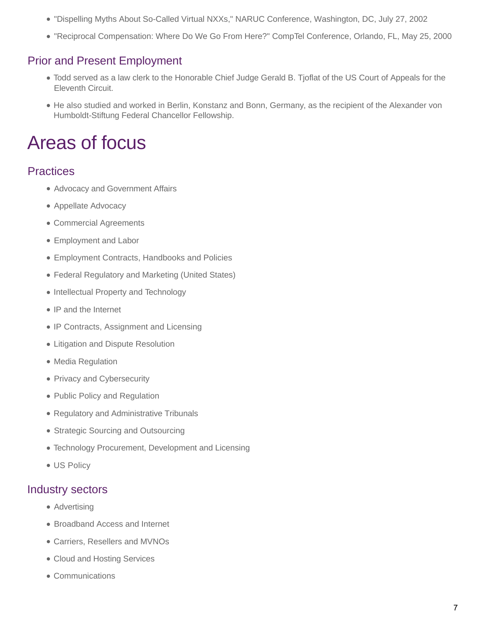- "Dispelling Myths About So-Called Virtual NXXs," NARUC Conference, Washington, DC, July 27, 2002
- "Reciprocal Compensation: Where Do We Go From Here?" CompTel Conference, Orlando, FL, May 25, 2000

#### Prior and Present Employment

- Todd served as a law clerk to the Honorable Chief Judge Gerald B. Tjoflat of the US Court of Appeals for the Eleventh Circuit.
- He also studied and worked in Berlin, Konstanz and Bonn, Germany, as the recipient of the Alexander von Humboldt-Stiftung Federal Chancellor Fellowship.

### Areas of focus

#### **Practices**

- [Advocacy and Government Affairs](https://www.dentons.com/en/find-your-dentons-team/practices/public-policy-and-regulation/advocacy-and-government-affairs)
- [Appellate Advocacy](https://www.dentons.com/en/find-your-dentons-team/practices/litigation-and-dispute-resolution/appellate-advocacy)
- [Commercial Agreements](https://www.dentons.com/en/find-your-dentons-team/practices/intellectual-property-and-technology/commercial-agreements)
- [Employment and Labor](https://www.dentons.com/en/find-your-dentons-team/practices/employment-and-labor)
- [Employment Contracts, Handbooks and Policies](https://www.dentons.com/en/find-your-dentons-team/practices/employment-and-labor/employment-contracts-handbooks-and-policies)
- [Federal Regulatory and Marketing \(United States\)](https://www.dentons.com/en/find-your-dentons-team/practices/public-policy-and-regulation/federal-regulatory-and-marketing-united-states)
- [Intellectual Property and Technology](https://www.dentons.com/en/find-your-dentons-team/practices/intellectual-property-and-technology)
- [IP and the Internet](https://www.dentons.com/en/find-your-dentons-team/practices/intellectual-property-and-technology/ip-and-the-internet)
- [IP Contracts, Assignment and Licensing](https://www.dentons.com/en/find-your-dentons-team/practices/intellectual-property-and-technology/ip-contracts-assignment-and-licensing)
- [Litigation and Dispute Resolution](https://www.dentons.com/en/find-your-dentons-team/practices/litigation-and-dispute-resolution)
- [Media Regulation](https://www.dentons.com/en/find-your-dentons-team/practices/public-policy-and-regulation/media-regulation)
- [Privacy and Cybersecurity](https://www.dentons.com/en/find-your-dentons-team/practices/privacy-and-security)
- [Public Policy and Regulation](https://www.dentons.com/en/find-your-dentons-team/practices/public-policy-and-regulation)
- [Regulatory and Administrative Tribunals](https://www.dentons.com/en/find-your-dentons-team/practices/litigation-and-dispute-resolution/regulatory-and-administrative-tribunals)
- [Strategic Sourcing and Outsourcing](https://www.dentons.com/en/find-your-dentons-team/practices/intellectual-property-and-technology/strategic-sourcing-and-outsourcing)
- [Technology Procurement, Development and Licensing](https://www.dentons.com/en/find-your-dentons-team/practices/intellectual-property-and-technology/technology-procurement-development-and-licensing)
- [US Policy](https://www.dentons.com/en/find-your-dentons-team/practices/public-policy-and-regulation/advocacy-and-government-affairs/us-policy)

#### Industry sectors

- [Advertising](https://www.dentons.com/en/find-your-dentons-team/industry-sectors/media-entertainment-and-sports/media-and-entertainment/advertising)
- [Broadband Access and Internet](https://www.dentons.com/en/find-your-dentons-team/industry-sectors/communications/broadband-access-and-internet)
- [Carriers, Resellers and MVNOs](https://www.dentons.com/en/find-your-dentons-team/industry-sectors/communications/carriers-resellers-and-mvnos)
- [Cloud and Hosting Services](https://www.dentons.com/en/find-your-dentons-team/industry-sectors/technology/information-technology-it/cloud-and-hosting-services)
- [Communications](https://www.dentons.com/en/find-your-dentons-team/industry-sectors/communications)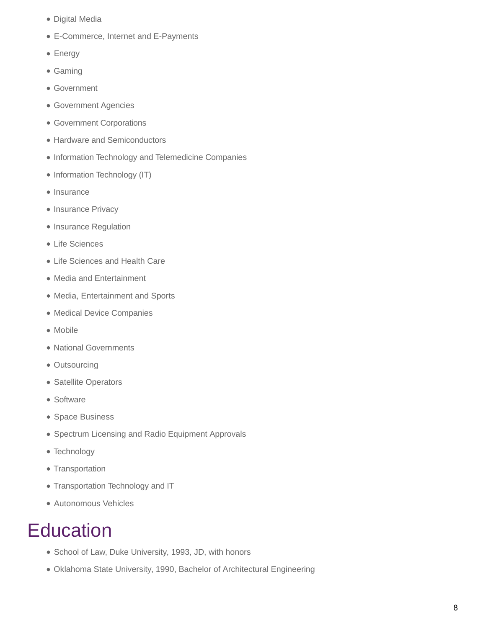- [Digital Media](https://www.dentons.com/en/find-your-dentons-team/industry-sectors/media-entertainment-and-sports/media-and-entertainment/digital-media)
- [E-Commerce, Internet and E-Payments](https://www.dentons.com/en/find-your-dentons-team/industry-sectors/technology/information-technology-it/e-commerce-internet-and-e-payments)
- [Energy](https://www.dentons.com/en/find-your-dentons-team/industry-sectors/energy)
- [Gaming](https://www.dentons.com/en/find-your-dentons-team/industry-sectors/gaming)
- [Government](https://www.dentons.com/en/find-your-dentons-team/industry-sectors/government)
- [Government Agencies](https://www.dentons.com/en/find-your-dentons-team/industry-sectors/government/government-agencies)
- [Government Corporations](https://www.dentons.com/en/find-your-dentons-team/industry-sectors/government/government-corporations)
- [Hardware and Semiconductors](https://www.dentons.com/en/find-your-dentons-team/industry-sectors/technology/information-technology-it/hardware-and-semiconductors)
- [Information Technology and Telemedicine Companies](https://www.dentons.com/en/find-your-dentons-team/industry-sectors/life-sciences-and-health-care/life-sciences/information-technology-and-telemedicine-companies)
- [Information Technology \(IT\)](https://www.dentons.com/en/find-your-dentons-team/industry-sectors/technology/information-technology-it)
- [Insurance](https://www.dentons.com/en/find-your-dentons-team/industry-sectors/insurance)
- [Insurance Privacy](https://www.dentons.com/en/find-your-dentons-team/industry-sectors/insurance/insurance-regulation/insurance-privacy)
- [Insurance Regulation](https://www.dentons.com/en/find-your-dentons-team/industry-sectors/insurance/insurance-regulation)
- [Life Sciences](https://www.dentons.com/en/find-your-dentons-team/industry-sectors/life-sciences-and-health-care/life-sciences)
- [Life Sciences and Health Care](https://www.dentons.com/en/find-your-dentons-team/industry-sectors/life-sciences-and-health-care)
- [Media and Entertainment](https://www.dentons.com/en/find-your-dentons-team/industry-sectors/media-entertainment-and-sports/media-and-entertainment)
- [Media, Entertainment and Sports](https://www.dentons.com/en/find-your-dentons-team/industry-sectors/media-entertainment-and-sports)
- [Medical Device Companies](https://www.dentons.com/en/find-your-dentons-team/industry-sectors/life-sciences-and-health-care/life-sciences/medical-device-companies)
- [Mobile](https://www.dentons.com/en/find-your-dentons-team/industry-sectors/technology/information-technology-it/mobile)
- [National Governments](https://www.dentons.com/en/find-your-dentons-team/industry-sectors/government/national-governments)
- [Outsourcing](https://www.dentons.com/en/find-your-dentons-team/industry-sectors/technology/information-technology-it/outsourcing)
- [Satellite Operators](https://www.dentons.com/en/find-your-dentons-team/industry-sectors/communications/satellite-operators)
- [Software](https://www.dentons.com/en/find-your-dentons-team/industry-sectors/technology/information-technology-it/software)
- [Space Business](https://www.dentons.com/en/find-your-dentons-team/industry-sectors/defense/space-business)
- [Spectrum Licensing and Radio Equipment Approvals](https://www.dentons.com/en/find-your-dentons-team/industry-sectors/communications/spectrum-licensing-and-radio-equipment-approvals)
- [Technology](https://www.dentons.com/en/find-your-dentons-team/industry-sectors/technology)
- [Transportation](https://www.dentons.com/en/find-your-dentons-team/industry-sectors/transportation)
- [Transportation Technology and IT](https://www.dentons.com/en/find-your-dentons-team/industry-sectors/transportation/transportation-technology-and-it)
- [Autonomous Vehicles](https://www.dentons.com/en/find-your-dentons-team/industry-sectors/transportation/autonomous-vehicles)

### **Education**

- School of Law, Duke University, 1993, JD, with honors
- Oklahoma State University, 1990, Bachelor of Architectural Engineering